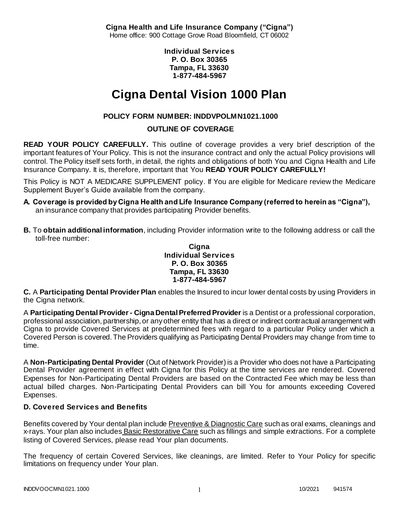**Cigna Health and Life Insurance Company ("Cigna")** Home office: 900 Cottage Grove Road Bloomfield, CT 06002

> **Individual Services P. O. Box 30365 Tampa, FL 33630 1-877-484-5967**

# **Cigna Dental Vision 1000 Plan**

# **POLICY FORM NUMBER: INDDVPOLMN1021.1000**

# **OUTLINE OF COVERAGE**

**READ YOUR POLICY CAREFULLY.** This outline of coverage provides a very brief description of the important features of Your Policy. This is not the insurance contract and only the actual Policy provisions will control. The Policy itself sets forth, in detail, the rights and obligations of both You and Cigna Health and Life Insurance Company. It is, therefore, important that You **READ YOUR POLICY CAREFULLY!** 

This Policy is NOT A MEDICARE SUPPLEMENT policy. If You are eligible for Medicare review the Medicare Supplement Buyer's Guide available from the company.

- **A. Coverage is provided by Cigna Health and Life Insurance Company (referred to herein as "Cigna"),**  an insurance company that provides participating Provider benefits.
- **B.** To **obtain additional information**, including Provider information write to the following address or call the toll-free number:

#### **Cigna Individual Services P. O. Box 30365 Tampa, FL 33630 1-877-484-5967**

**C.** A **Participating Dental Provider Plan** enables the Insured to incur lower dental costs by using Providers in the Cigna network.

A **Participating Dental Provider - Cigna Dental Preferred Provider** is a Dentist or a professional corporation, professional association, partnership, or any other entity that has a direct or indirect contractual arrangement with Cigna to provide Covered Services at predetermined fees with regard to a particular Policy under which a Covered Person is covered. The Providers qualifying as Participating Dental Providers may change from time to time.

A **Non-Participating Dental Provider** (Out of Network Provider) is a Provider who does not have a Participating Dental Provider agreement in effect with Cigna for this Policy at the time services are rendered. Covered Expenses for Non-Participating Dental Providers are based on the Contracted Fee which may be less than actual billed charges. Non-Participating Dental Providers can bill You for amounts exceeding Covered Expenses.

# **D. Covered Services and Benefits**

Benefits covered by Your dental plan include Preventive & Diagnostic Care such as oral exams, cleanings and x-rays. Your plan also includes Basic Restorative Care such as fillings and simple extractions. For a complete listing of Covered Services, please read Your plan documents.

The frequency of certain Covered Services, like cleanings, are limited. Refer to Your Policy for specific limitations on frequency under Your plan.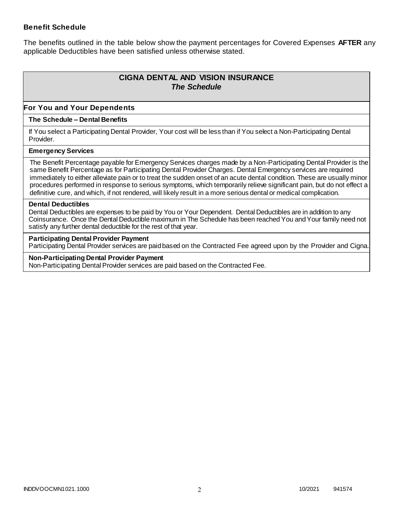### **Benefit Schedule**

The benefits outlined in the table below show the payment percentages for Covered Expenses **AFTER** any applicable Deductibles have been satisfied unless otherwise stated.

# **CIGNA DENTAL AND VISION INSURANCE** *The Schedule*

### **For You and Your Dependents**

#### **The Schedule – Dental Benefits**

If You select a Participating Dental Provider, Your cost will be less than if You select a Non-Participating Dental Provider.

#### **Emergency Services**

The Benefit Percentage payable for Emergency Services charges made by a Non-Participating Dental Provider is the same Benefit Percentage as for Participating Dental Provider Charges. Dental Emergency services are required immediately to either alleviate pain or to treat the sudden onset of an acute dental condition. These are usually minor procedures performed in response to serious symptoms, which temporarily relieve significant pain, but do not effect a definitive cure, and which, if not rendered, will likely result in a more serious dental or medical complication.

#### **Dental Deductibles**

Dental Deductibles are expenses to be paid by You or Your Dependent. Dental Deductibles are in addition to any Coinsurance. Once the Dental Deductible maximum in The Schedule has been reached You and Your family need not satisfy any further dental deductible for the rest of that year.

#### **Participating Dental Provider Payment**

Participating Dental Provider services are paid based on the Contracted Fee agreed upon by the Provider and Cigna.

**Non-Participating Dental Provider Payment** Non-Participating Dental Provider services are paid based on the Contracted Fee.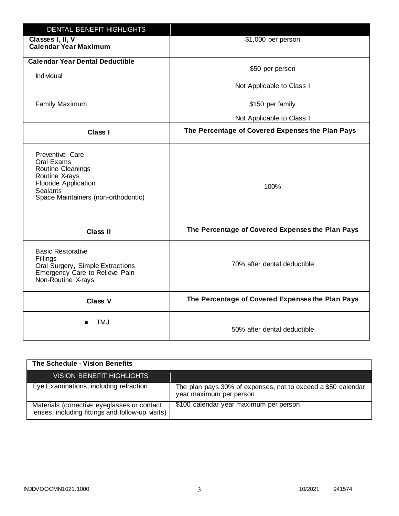| DENTAL BENEFIT HIGHLIGHTS                                                                                                                                     |                                                  |
|---------------------------------------------------------------------------------------------------------------------------------------------------------------|--------------------------------------------------|
| Classes I, II, V<br><b>Calendar Year Maximum</b>                                                                                                              | \$1,000 per person                               |
| <b>Calendar Year Dental Deductible</b>                                                                                                                        | \$50 per person                                  |
| Individual                                                                                                                                                    |                                                  |
|                                                                                                                                                               | Not Applicable to Class I                        |
| <b>Family Maximum</b>                                                                                                                                         | \$150 per family                                 |
|                                                                                                                                                               | Not Applicable to Class I                        |
| Class I                                                                                                                                                       | The Percentage of Covered Expenses the Plan Pays |
| Preventive Care<br>Oral Exams<br>Routine Cleanings<br>Routine X-rays<br><b>Fluoride Application</b><br><b>Sealants</b><br>Space Maintainers (non-orthodontic) | 100%                                             |
| Class II                                                                                                                                                      | The Percentage of Covered Expenses the Plan Pays |
| <b>Basic Restorative</b><br>Fillings<br>Oral Surgery, Simple Extractions<br>Emergency Care to Relieve Pain<br>Non-Routine X-rays                              | 70% after dental deductible                      |
| <b>Class V</b>                                                                                                                                                | The Percentage of Covered Expenses the Plan Pays |
| <b>TMJ</b>                                                                                                                                                    | 50% after dental deductible                      |

| The Schedule - Vision Benefits                                                                  |                                                                                         |
|-------------------------------------------------------------------------------------------------|-----------------------------------------------------------------------------------------|
| VISION BENEFIT HIGHLIGHTS                                                                       |                                                                                         |
| Eye Examinations, including refraction                                                          | The plan pays 30% of expenses, not to exceed a \$50 calendar<br>year maximum per person |
| Materials (corrective eyeglasses or contact<br>lenses, including fittings and follow-up visits) | \$100 calendar year maximum per person                                                  |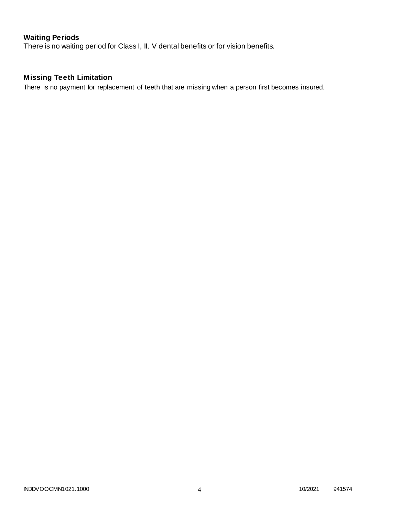# **Waiting Periods**

There is no waiting period for Class I, II, V dental benefits or for vision benefits.

# **Missing Teeth Limitation**

There is no payment for replacement of teeth that are missing when a person first becomes insured.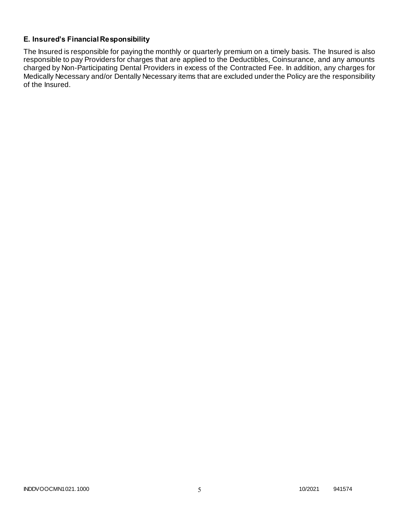# **E. Insured's Financial Responsibility**

The Insured is responsible for paying the monthly or quarterly premium on a timely basis. The Insured is also responsible to pay Providers for charges that are applied to the Deductibles, Coinsurance, and any amounts charged by Non-Participating Dental Providers in excess of the Contracted Fee. In addition, any charges for Medically Necessary and/or Dentally Necessary items that are excluded under the Policy are the responsibility of the Insured.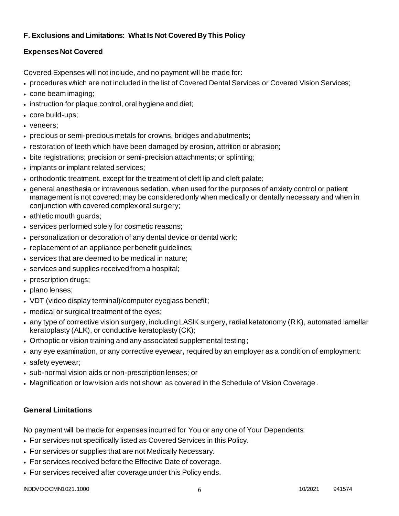# **F. Exclusions and Limitations: What Is Not Covered By This Policy**

# **Expenses Not Covered**

Covered Expenses will not include, and no payment will be made for:

- procedures which are not included in the list of Covered Dental Services or Covered Vision Services;
- cone beam imaging;
- instruction for plaque control, oral hygiene and diet;
- core build-ups;
- veneers;
- precious or semi-precious metals for crowns, bridges and abutments;
- restoration of teeth which have been damaged by erosion, attrition or abrasion;
- bite registrations; precision or semi-precision attachments; or splinting;
- implants or implant related services;
- orthodontic treatment, except for the treatment of cleft lip and cleft palate;
- general anesthesia or intravenous sedation, when used for the purposes of anxiety control or patient management is not covered; may be considered only when medically or dentally necessary and when in conjunction with covered complex oral surgery;
- athletic mouth guards;
- services performed solely for cosmetic reasons;
- personalization or decoration of any dental device or dental work;
- replacement of an appliance per benefit quidelines;
- services that are deemed to be medical in nature;
- services and supplies received from a hospital;
- prescription drugs;
- plano lenses;
- VDT (video display terminal)/computer eyeglass benefit;
- medical or surgical treatment of the eyes;
- any type of corrective vision surgery, including LASIK surgery, radial ketatonomy (RK), automated lamellar keratoplasty (ALK), or conductive keratoplasty (CK);
- Orthoptic or vision training and any associated supplemental testing;
- any eye examination, or any corrective eyewear, required by an employer as a condition of employment;
- safety eyewear;
- sub-normal vision aids or non-prescription lenses; or
- Magnification or low vision aids not shown as covered in the Schedule of Vision Coverage.

# **General Limitations**

No payment will be made for expenses incurred for You or any one of Your Dependents:

- For services not specifically listed as Covered Services in this Policy.
- For services or supplies that are not Medically Necessary.
- For services received before the Effective Date of coverage.
- For services received after coverage under this Policy ends.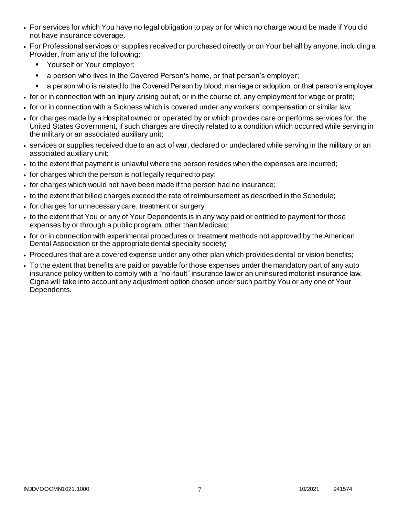- For services for which You have no legal obligation to pay or for which no charge would be made if You did not have insurance coverage.
- For Professional services or supplies received or purchased directly or on Your behalf by anyone, inclu ding a Provider, from any of the following:
	- **Yourself or Your employer;**
	- **a** person who lives in the Covered Person's home, or that person's employer;
	- a person who is related to the Covered Person by blood, marriage or adoption, or that person's employer.
- for or in connection with an Injury arising out of, or in the course of, any employment for wage or profit;
- for or in connection with a Sickness which is covered under any workers' compensation or similar law;
- for charges made by a Hospital owned or operated by or which provides care or performs services for, the United States Government, if such charges are directly related to a condition which occurred while serving in the military or an associated auxiliary unit;
- services or supplies received due to an act of war, declared or undeclared while serving in the military or an associated auxiliary unit;
- to the extent that payment is unlawful where the person resides when the expenses are incurred;
- for charges which the person is not legally required to pay;
- for charges which would not have been made if the person had no insurance;
- to the extent that billed charges exceed the rate of reimbursement as described in the Schedule;
- for charges for unnecessary care, treatment or surgery;
- to the extent that You or any of Your Dependents is in any way paid or entitled to payment for those expenses by or through a public program, other than Medicaid;
- for or in connection with experimental procedures or treatment methods not approved by the American Dental Association or the appropriate dental specialty society;
- Procedures that are a covered expense under any other plan which provides dental or vision benefits;
- To the extent that benefits are paid or payable for those expenses under the mandatory part of any auto insurance policy written to comply with a "no-fault" insurance law or an uninsured motorist insurance law. Cigna will take into account any adjustment option chosen under such part by You or any one of Your Dependents.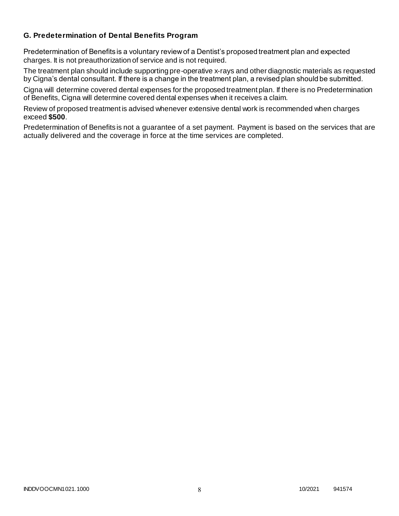### **G. Predetermination of Dental Benefits Program**

Predetermination of Benefits is a voluntary review of a Dentist's proposed treatment plan and expected charges. It is not preauthorization of service and is not required.

The treatment plan should include supporting pre-operative x-rays and other diagnostic materials as requested by Cigna's dental consultant. If there is a change in the treatment plan, a revised plan should be submitted.

Cigna will determine covered dental expenses for the proposed treatment plan. If there is no Predetermination of Benefits, Cigna will determine covered dental expenses when it receives a claim.

Review of proposed treatment is advised whenever extensive dental work is recommended when charges exceed **\$500**.

Predetermination of Benefits is not a guarantee of a set payment. Payment is based on the services that are actually delivered and the coverage in force at the time services are completed.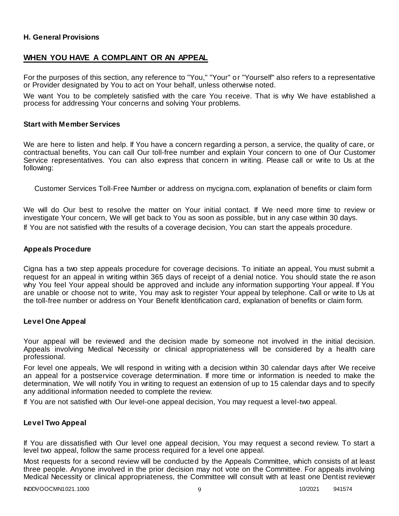### **H. General Provisions**

# **WHEN YOU HAVE A COMPLAINT OR AN APPEAL**

For the purposes of this section, any reference to "You," "Your" or "Yourself" also refers to a representative or Provider designated by You to act on Your behalf, unless otherwise noted.

We want You to be completely satisfied with the care You receive. That is why We have established a process for addressing Your concerns and solving Your problems.

#### **Start with Member Services**

We are here to listen and help. If You have a concern regarding a person, a service, the quality of care, or contractual benefits, You can call Our toll-free number and explain Your concern to one of Our Customer Service representatives. You can also express that concern in writing. Please call or write to Us at the following:

Customer Services Toll-Free Number or address on mycigna.com, explanation of benefits or claim form

We will do Our best to resolve the matter on Your initial contact. If We need more time to review or investigate Your concern, We will get back to You as soon as possible, but in any case within 30 days. If You are not satisfied with the results of a coverage decision, You can start the appeals procedure.

#### **Appeals Procedure**

Cigna has a two step appeals procedure for coverage decisions. To initiate an appeal, You must submit a request for an appeal in writing within 365 days of receipt of a denial notice. You should state the re ason why You feel Your appeal should be approved and include any information supporting Your appeal. If You are unable or choose not to write, You may ask to register Your appeal by telephone. Call or write to Us at the toll-free number or address on Your Benefit Identification card, explanation of benefits or claim form.

#### **Level One Appeal**

Your appeal will be reviewed and the decision made by someone not involved in the initial decision. Appeals involving Medical Necessity or clinical appropriateness will be considered by a health care professional.

For level one appeals, We will respond in writing with a decision within 30 calendar days after We receive an appeal for a postservice coverage determination. If more time or information is needed to make the determination, We will notify You in writing to request an extension of up to 15 calendar days and to specify any additional information needed to complete the review.

If You are not satisfied with Our level-one appeal decision, You may request a level-two appeal.

#### **Level Two Appeal**

If You are dissatisfied with Our level one appeal decision, You may request a second review. To start a level two appeal, follow the same process required for a level one appeal.

Most requests for a second review will be conducted by the Appeals Committee, which consists of at least three people. Anyone involved in the prior decision may not vote on the Committee. For appeals involving Medical Necessity or clinical appropriateness, the Committee will consult with at least one Dentist reviewer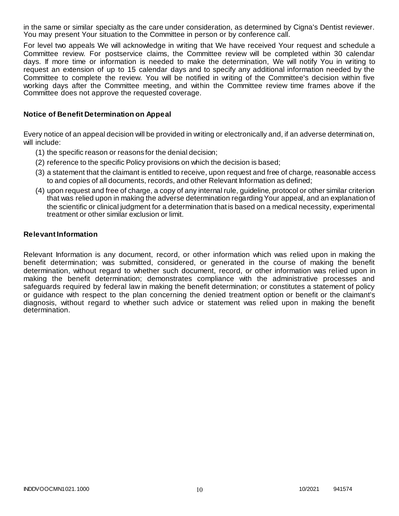in the same or similar specialty as the care under consideration, as determined by Cigna's Dentist reviewer. You may present Your situation to the Committee in person or by conference call.

For level two appeals We will acknowledge in writing that We have received Your request and schedule a Committee review. For postservice claims, the Committee review will be completed within 30 calendar days. If more time or information is needed to make the determination, We will notify You in writing to request an extension of up to 15 calendar days and to specify any additional information needed by the Committee to complete the review. You will be notified in writing of the Committee's decision within five working days after the Committee meeting, and within the Committee review time frames above if the Committee does not approve the requested coverage.

#### **Notice of Benefit Determination on Appeal**

Every notice of an appeal decision will be provided in writing or electronically and, if an adverse determinati on, will include:

- (1) the specific reason or reasons for the denial decision;
- (2) reference to the specific Policy provisions on which the decision is based;
- (3) a statement that the claimant is entitled to receive, upon request and free of charge, reasonable access to and copies of all documents, records, and other Relevant Information as defined;
- (4) upon request and free of charge, a copy of any internal rule, guideline, protocol or other similar criterion that was relied upon in making the adverse determination regarding Your appeal, and an explanation of the scientific or clinical judgment for a determination that is based on a medical necessity, experimental treatment or other similar exclusion or limit.

#### **Relevant Information**

Relevant Information is any document, record, or other information which was relied upon in making the benefit determination; was submitted, considered, or generated in the course of making the benefit determination, without regard to whether such document, record, or other information was rel ied upon in making the benefit determination; demonstrates compliance with the administrative processes and safeguards required by federal law in making the benefit determination; or constitutes a statement of policy or guidance with respect to the plan concerning the denied treatment option or benefit or the claimant's diagnosis, without regard to whether such advice or statement was relied upon in making the benefit determination.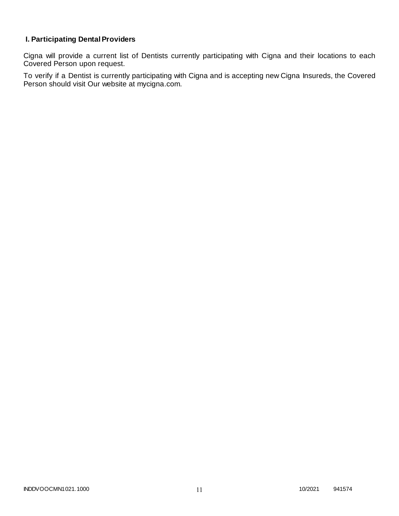# **I. Participating Dental Providers**

Cigna will provide a current list of Dentists currently participating with Cigna and their locations to each Covered Person upon request.

To verify if a Dentist is currently participating with Cigna and is accepting new Cigna Insureds, the Covered Person should visit Our website at mycigna.com.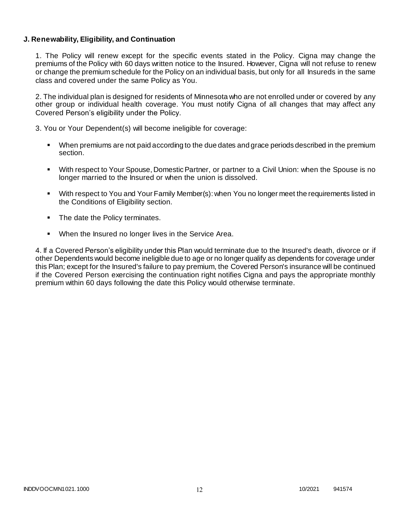### **J. Renewability, Eligibility, and Continuation**

1. The Policy will renew except for the specific events stated in the Policy. Cigna may change the premiums of the Policy with 60 days written notice to the Insured. However, Cigna will not refuse to renew or change the premium schedule for the Policy on an individual basis, but only for all Insureds in the same class and covered under the same Policy as You.

2. The individual plan is designed for residents of Minnesota who are not enrolled under or covered by any other group or individual health coverage. You must notify Cigna of all changes that may affect any Covered Person's eligibility under the Policy.

3. You or Your Dependent(s) will become ineligible for coverage:

- When premiums are not paid according to the due dates and grace periods described in the premium section.
- With respect to Your Spouse, Domestic Partner, or partner to a Civil Union: when the Spouse is no longer married to the Insured or when the union is dissolved.
- With respect to You and Your Family Member(s): when You no longer meet the requirements listed in the Conditions of Eligibility section.
- The date the Policy terminates.
- When the Insured no longer lives in the Service Area.

4. If a Covered Person's eligibility under this Plan would terminate due to the Insured's death, divorce or if other Dependents would become ineligible due to age or no longer qualify as dependents for coverage under this Plan; except for the Insured's failure to pay premium, the Covered Person's insurance will be continued if the Covered Person exercising the continuation right notifies Cigna and pays the appropriate monthly premium within 60 days following the date this Policy would otherwise terminate.